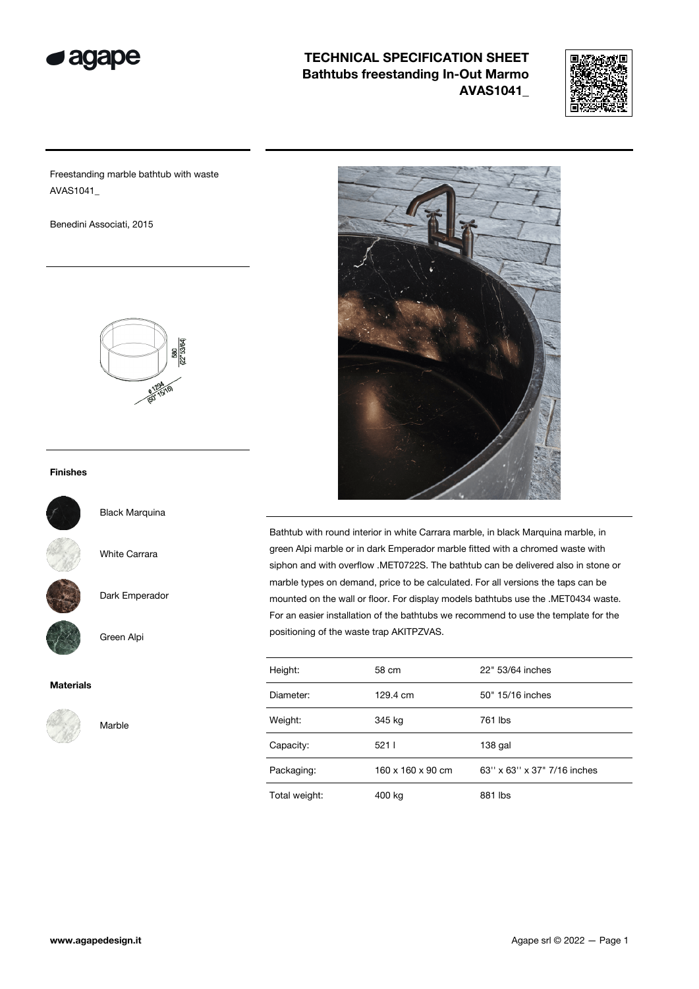



Freestanding marble bathtub with waste AVAS1041\_

Benedini Associati, 2015



#### Finishes



Black Marquina

White Carrara

Dark Emperador

Green Alpi

#### Materials



Marble



Bathtub with round interior in white Carrara marble, in black Marquina marble, in green Alpi marble or in dark Emperador marble fitted with a chromed waste with siphon and with overflow .MET0722S. The bathtub can be delivered also in stone or marble types on demand, price to be calculated. For all versions the taps can be mounted on the wall or floor. For display models bathtubs use the .MET0434 waste. For an easier installation of the bathtubs we recommend to use the template for the positioning of the waste trap AKITPZVAS.

| Height:       | 58 cm                         | 22" 53/64 inches            |  |
|---------------|-------------------------------|-----------------------------|--|
| Diameter:     | 129.4 cm                      | 50" 15/16 inches            |  |
| Weight:       | 345 kg                        | 761 lbs                     |  |
| Capacity:     | 5211                          | $138$ gal                   |  |
| Packaging:    | $160 \times 160 \times 90$ cm | 63" x 63" x 37" 7/16 inches |  |
| Total weight: | 400 kg                        | 881 lbs                     |  |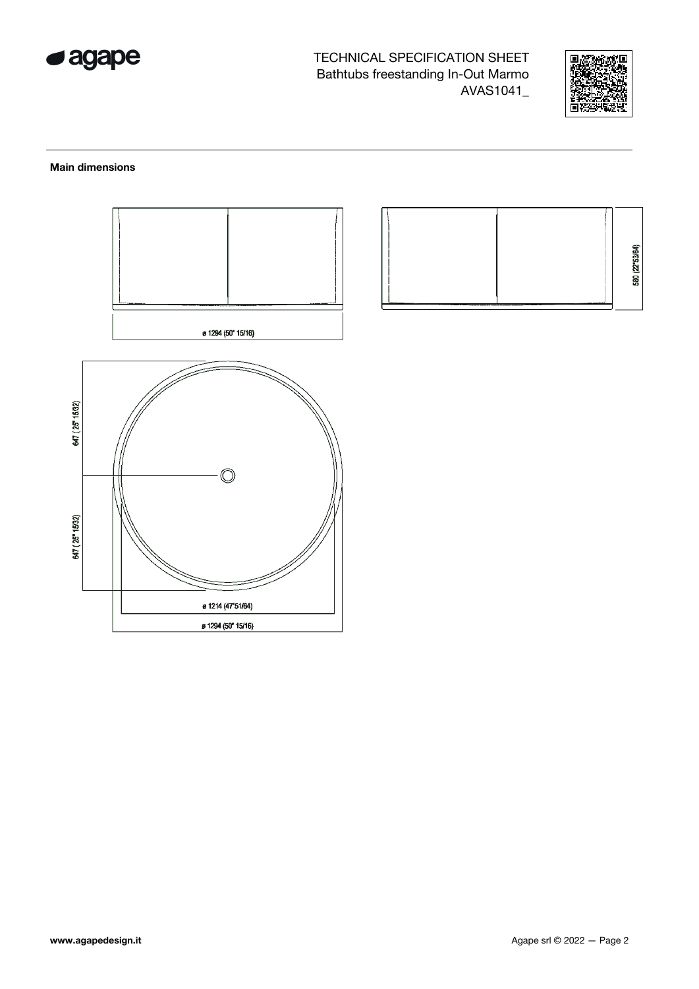



#### **Main dimensions**



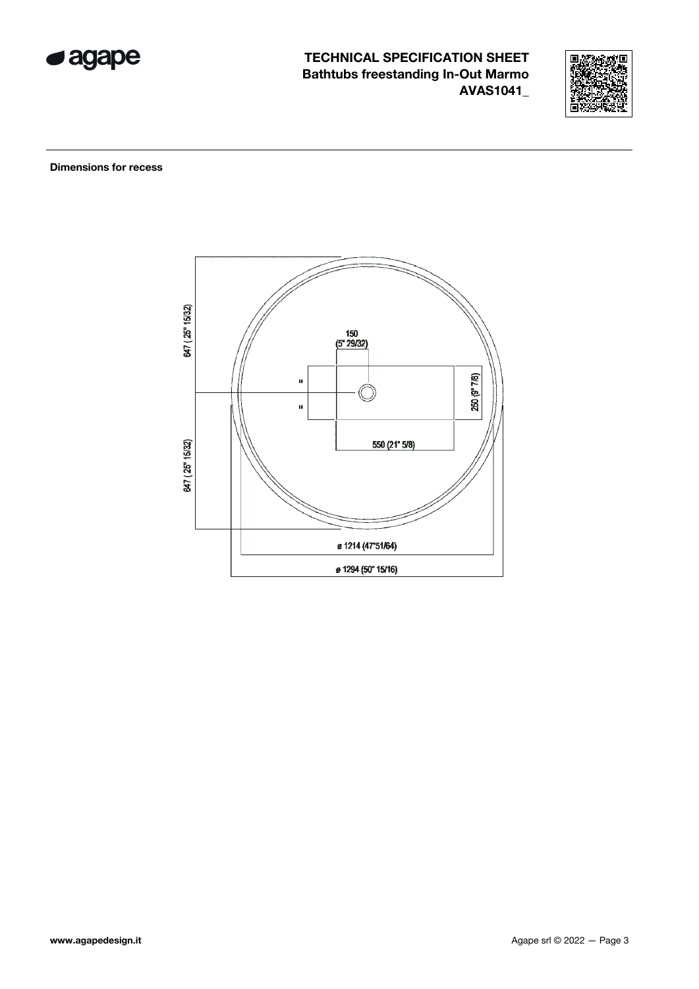



**Dimensions for recess** 

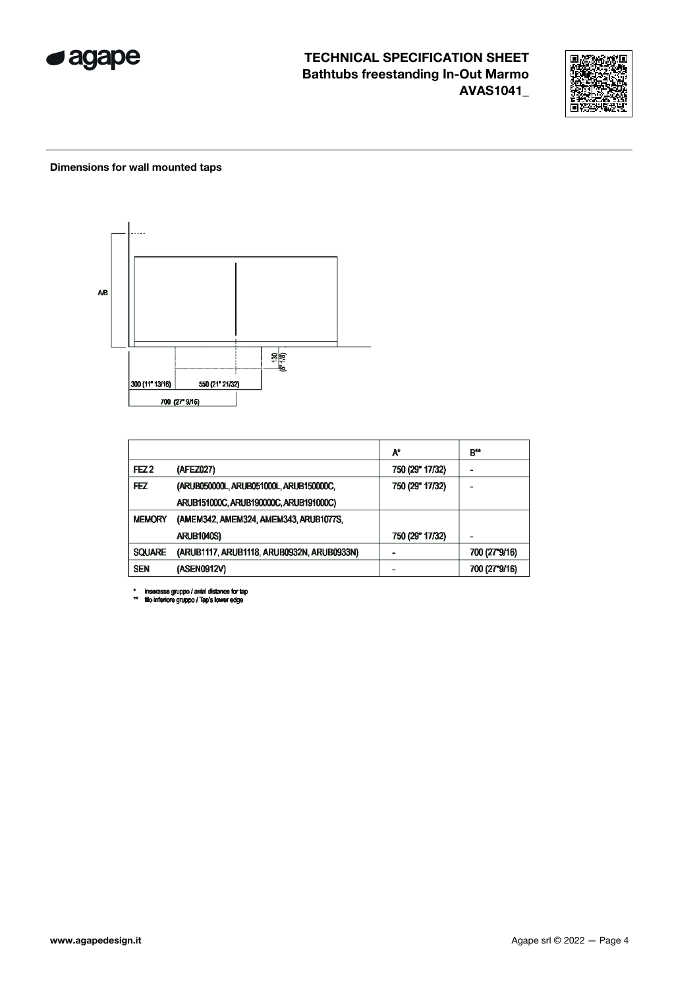



### Dimensions for wall mounted taps



|                  |                                            | A*              | B#            |
|------------------|--------------------------------------------|-----------------|---------------|
| FEZ <sub>2</sub> | (AFEZ027)                                  | 750 (29" 17/32) |               |
| FEZ              | (ARUB050000L, ARUB051000L, ARUB150000C,    | 750 (29" 17/32) |               |
|                  | ARUB151000C, ARUB190000C, ARUB191000C)     |                 |               |
| <b>MEMORY</b>    | (AMEM342, AMEM324, AMEM343, ARUB1077S,     |                 |               |
|                  | <b>ARUB1040S)</b>                          | 750 (29" 17/32) |               |
| <b>SQUARE</b>    | (ARUB1117, ARUB1118, ARUB0932N, ARUB0933N) |                 | 700 (27°9/16) |
| <b>SEN</b>       | (ASEN0912V)                                |                 | 700 (27"9/16) |

\* inserasse gruppo / axial distance for tap<br>\*\* fillo inferiore gruppo / Tap's lower edge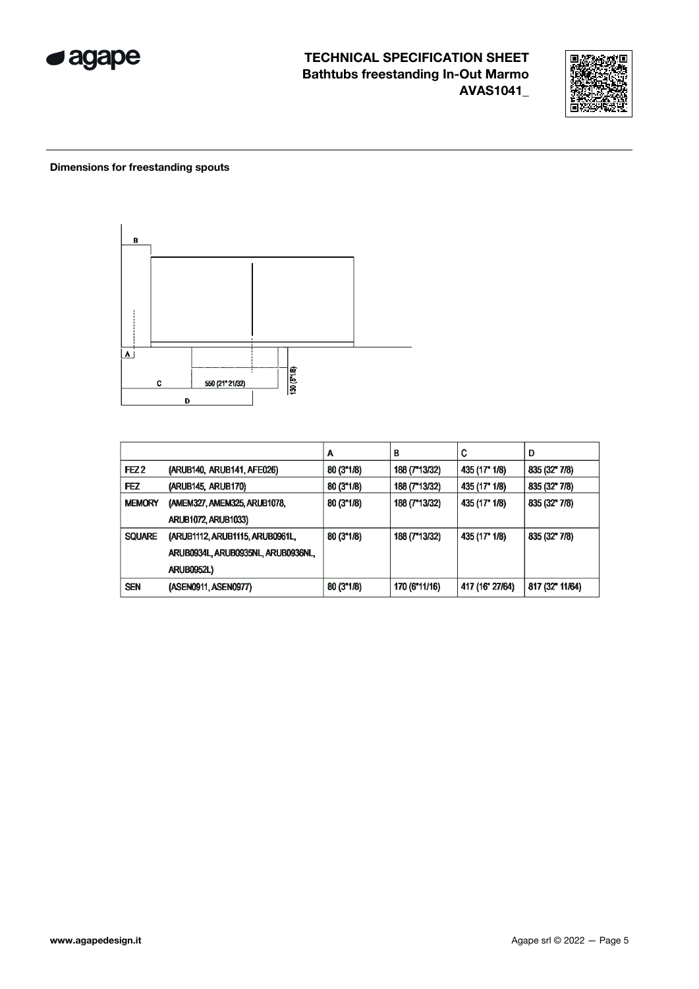



### Dimensions for freestanding spouts



|                  |                                    | А         | В             | C               | D                    |
|------------------|------------------------------------|-----------|---------------|-----------------|----------------------|
| FEZ <sub>2</sub> | (ARUB140, ARUB141, AFE026)         | 80(3"1/8) | 188 (T 13/32) | 435 (17" 1/8)   | $835(32^{\circ}7/8)$ |
| <b>FEZ</b>       | (ARUB145, ARUB170)                 | 80(3"1/8) | 188 (7"13/32) | 435 (17" 1/8)   | 835 (32" 7/8)        |
| <b>MEMORY</b>    | (AMEM327, AMEM325, ARUB1078,       | 80(3"1/8) | 188 (7"13/32) | 435 (17" 1/8)   | 835 (32" 7/8)        |
|                  | <b>ARUB1072, ARUB1033)</b>         |           |               |                 |                      |
| <b>SQUARE</b>    | (ARUB1112, ARUB1115, ARUB0961L,    | 80(3"1/8) | 188 (T 13/32) | 435 (17" 1/8)   | $835(32^{\circ}7/8)$ |
|                  | ARUB0934L, ARUB0935NL, ARUB0936NL, |           |               |                 |                      |
|                  | <b>ARUB0952L)</b>                  |           |               |                 |                      |
| <b>SEN</b>       | (ASEN0911, ASEN0977)               | 80(3"1/8) | 170 (6"11/16) | 417 (16" 27/64) | 817 (32" 11/64)      |